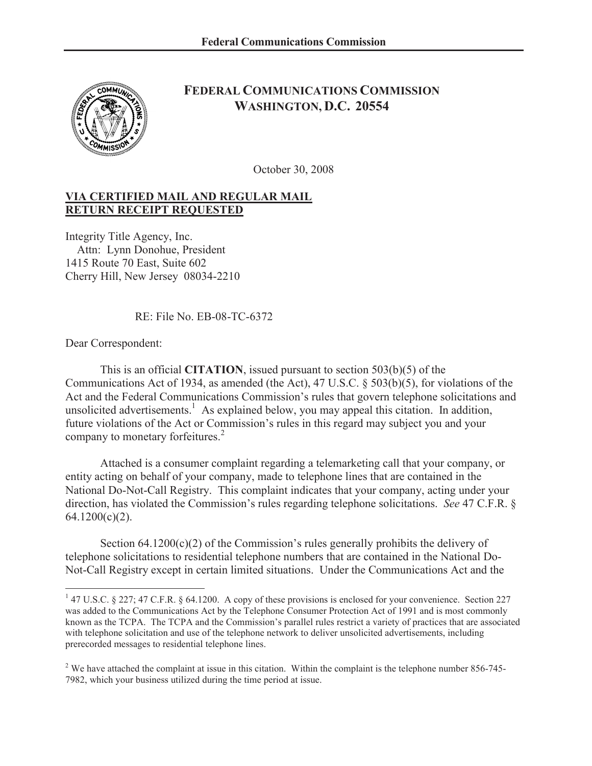

## **FEDERAL COMMUNICATIONS COMMISSION WASHINGTON, D.C. 20554**

October 30, 2008

## **VIA CERTIFIED MAIL AND REGULAR MAIL RETURN RECEIPT REQUESTED**

Integrity Title Agency, Inc. Attn: Lynn Donohue, President 1415 Route 70 East, Suite 602 Cherry Hill, New Jersey 08034-2210

RE: File No. EB-08-TC-6372

Dear Correspondent:

This is an official **CITATION**, issued pursuant to section 503(b)(5) of the Communications Act of 1934, as amended (the Act), 47 U.S.C. § 503(b)(5), for violations of the Act and the Federal Communications Commission's rules that govern telephone solicitations and unsolicited advertisements.<sup>1</sup> As explained below, you may appeal this citation. In addition, future violations of the Act or Commission's rules in this regard may subject you and your company to monetary forfeitures.<sup>2</sup>

Attached is a consumer complaint regarding a telemarketing call that your company, or entity acting on behalf of your company, made to telephone lines that are contained in the National Do-Not-Call Registry. This complaint indicates that your company, acting under your direction, has violated the Commission's rules regarding telephone solicitations. *See* 47 C.F.R. §  $64.1200(c)(2)$ .

Section  $64.1200(c)(2)$  of the Commission's rules generally prohibits the delivery of telephone solicitations to residential telephone numbers that are contained in the National Do-Not-Call Registry except in certain limited situations. Under the Communications Act and the

<sup>&</sup>lt;sup>1</sup> 47 U.S.C. § 227; 47 C.F.R. § 64.1200. A copy of these provisions is enclosed for your convenience. Section 227 was added to the Communications Act by the Telephone Consumer Protection Act of 1991 and is most commonly known as the TCPA. The TCPA and the Commission's parallel rules restrict a variety of practices that are associated with telephone solicitation and use of the telephone network to deliver unsolicited advertisements, including prerecorded messages to residential telephone lines.

<sup>&</sup>lt;sup>2</sup> We have attached the complaint at issue in this citation. Within the complaint is the telephone number 856-745-7982, which your business utilized during the time period at issue.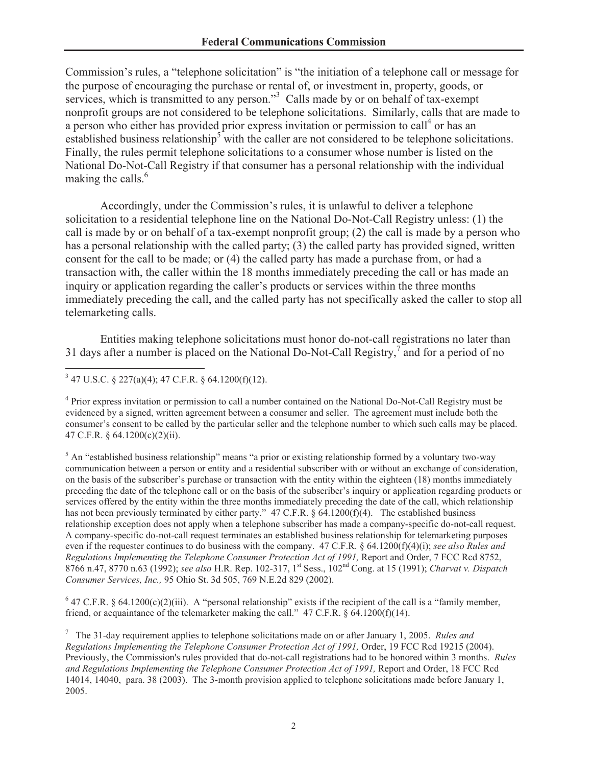Commission's rules, a "telephone solicitation" is "the initiation of a telephone call or message for the purpose of encouraging the purchase or rental of, or investment in, property, goods, or services, which is transmitted to any person." $3$  Calls made by or on behalf of tax-exempt nonprofit groups are not considered to be telephone solicitations. Similarly, calls that are made to a person who either has provided prior express invitation or permission to call<sup>4</sup> or has an established business relationship<sup>5</sup> with the caller are not considered to be telephone solicitations. Finally, the rules permit telephone solicitations to a consumer whose number is listed on the National Do-Not-Call Registry if that consumer has a personal relationship with the individual making the calls.<sup>6</sup>

Accordingly, under the Commission's rules, it is unlawful to deliver a telephone solicitation to a residential telephone line on the National Do-Not-Call Registry unless: (1) the call is made by or on behalf of a tax-exempt nonprofit group; (2) the call is made by a person who has a personal relationship with the called party; (3) the called party has provided signed, written consent for the call to be made; or (4) the called party has made a purchase from, or had a transaction with, the caller within the 18 months immediately preceding the call or has made an inquiry or application regarding the caller's products or services within the three months immediately preceding the call, and the called party has not specifically asked the caller to stop all telemarketing calls.

Entities making telephone solicitations must honor do-not-call registrations no later than 31 days after a number is placed on the National Do-Not-Call Registry,<sup>7</sup> and for a period of no

<sup>4</sup> Prior express invitation or permission to call a number contained on the National Do-Not-Call Registry must be evidenced by a signed, written agreement between a consumer and seller. The agreement must include both the consumer's consent to be called by the particular seller and the telephone number to which such calls may be placed. 47 C.F.R. § 64.1200(c)(2)(ii).

<sup>5</sup> An "established business relationship" means "a prior or existing relationship formed by a voluntary two-way communication between a person or entity and a residential subscriber with or without an exchange of consideration, on the basis of the subscriber's purchase or transaction with the entity within the eighteen (18) months immediately preceding the date of the telephone call or on the basis of the subscriber's inquiry or application regarding products or services offered by the entity within the three months immediately preceding the date of the call, which relationship has not been previously terminated by either party." 47 C.F.R. § 64.1200(f)(4). The established business relationship exception does not apply when a telephone subscriber has made a company-specific do-not-call request. A company-specific do-not-call request terminates an established business relationship for telemarketing purposes even if the requester continues to do business with the company. 47 C.F.R. § 64.1200(f)(4)(i); *see also Rules and Regulations Implementing the Telephone Consumer Protection Act of 1991,* Report and Order, 7 FCC Rcd 8752, 8766 n.47, 8770 n.63 (1992); *see also* H.R. Rep. 102-317, 1<sup>st</sup> Sess., 102<sup>nd</sup> Cong. at 15 (1991); *Charvat v. Dispatch Consumer Services, Inc.,* 95 Ohio St. 3d 505, 769 N.E.2d 829 (2002).

 $6$  47 C.F.R. § 64.1200(c)(2)(iii). A "personal relationship" exists if the recipient of the call is a "family member, friend, or acquaintance of the telemarketer making the call."  $47 \text{ C.F.R.}$   $8 \text{ 64.1200(f)(14)}$ .

 $3$  47 U.S.C. § 227(a)(4); 47 C.F.R. § 64.1200(f)(12).

<sup>7</sup> The 31-day requirement applies to telephone solicitations made on or after January 1, 2005. *Rules and Regulations Implementing the Telephone Consumer Protection Act of 1991,* Order, 19 FCC Rcd 19215 (2004). Previously, the Commission's rules provided that do-not-call registrations had to be honored within 3 months. *Rules and Regulations Implementing the Telephone Consumer Protection Act of 1991,* Report and Order, 18 FCC Rcd 14014, 14040, para. 38 (2003). The 3-month provision applied to telephone solicitations made before January 1, 2005.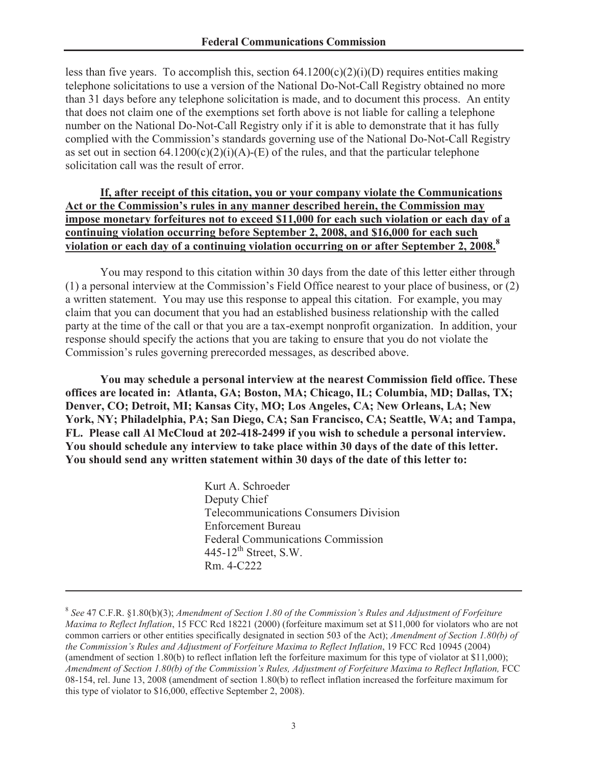less than five years. To accomplish this, section  $64.1200(c)(2)(i)(D)$  requires entities making telephone solicitations to use a version of the National Do-Not-Call Registry obtained no more than 31 days before any telephone solicitation is made, and to document this process. An entity that does not claim one of the exemptions set forth above is not liable for calling a telephone number on the National Do-Not-Call Registry only if it is able to demonstrate that it has fully complied with the Commission's standards governing use of the National Do-Not-Call Registry as set out in section  $64.1200(c)(2)(i)(A)$ -(E) of the rules, and that the particular telephone solicitation call was the result of error.

## **If, after receipt of this citation, you or your company violate the Communications Act or the Commission's rules in any manner described herein, the Commission may impose monetary forfeitures not to exceed \$11,000 for each such violation or each day of a continuing violation occurring before September 2, 2008, and \$16,000 for each such violation or each day of a continuing violation occurring on or after September 2, 2008. 8**

You may respond to this citation within 30 days from the date of this letter either through (1) a personal interview at the Commission's Field Office nearest to your place of business, or (2) a written statement. You may use this response to appeal this citation. For example, you may claim that you can document that you had an established business relationship with the called party at the time of the call or that you are a tax-exempt nonprofit organization. In addition, your response should specify the actions that you are taking to ensure that you do not violate the Commission's rules governing prerecorded messages, as described above.

**You may schedule a personal interview at the nearest Commission field office. These offices are located in: Atlanta, GA; Boston, MA; Chicago, IL; Columbia, MD; Dallas, TX; Denver, CO; Detroit, MI; Kansas City, MO; Los Angeles, CA; New Orleans, LA; New York, NY; Philadelphia, PA; San Diego, CA; San Francisco, CA; Seattle, WA; and Tampa, FL. Please call Al McCloud at 202-418-2499 if you wish to schedule a personal interview. You should schedule any interview to take place within 30 days of the date of this letter. You should send any written statement within 30 days of the date of this letter to:** 

> Kurt A. Schroeder Deputy Chief Telecommunications Consumers Division Enforcement Bureau Federal Communications Commission  $445-12$ <sup>th</sup> Street, S.W. Rm. 4-C222

<sup>8</sup> *See* 47 C.F.R. §1.80(b)(3); *Amendment of Section 1.80 of the Commission's Rules and Adjustment of Forfeiture Maxima to Reflect Inflation*, 15 FCC Rcd 18221 (2000) (forfeiture maximum set at \$11,000 for violators who are not common carriers or other entities specifically designated in section 503 of the Act); *Amendment of Section 1.80(b) of the Commission's Rules and Adjustment of Forfeiture Maxima to Reflect Inflation*, 19 FCC Rcd 10945 (2004) (amendment of section 1.80(b) to reflect inflation left the forfeiture maximum for this type of violator at \$11,000); *Amendment of Section 1.80(b) of the Commission's Rules, Adjustment of Forfeiture Maxima to Reflect Inflation,* FCC 08-154, rel. June 13, 2008 (amendment of section 1.80(b) to reflect inflation increased the forfeiture maximum for this type of violator to \$16,000, effective September 2, 2008).